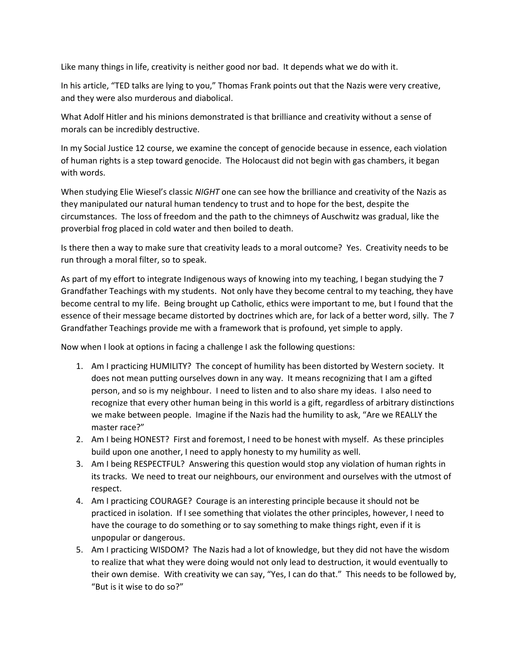Like many things in life, creativity is neither good nor bad. It depends what we do with it.

In his article, "TED talks are lying to you," Thomas Frank points out that the Nazis were very creative, and they were also murderous and diabolical.

What Adolf Hitler and his minions demonstrated is that brilliance and creativity without a sense of morals can be incredibly destructive.

In my Social Justice 12 course, we examine the concept of genocide because in essence, each violation of human rights is a step toward genocide. The Holocaust did not begin with gas chambers, it began with words.

When studying Elie Wiesel's classic NIGHT one can see how the brilliance and creativity of the Nazis as they manipulated our natural human tendency to trust and to hope for the best, despite the circumstances. The loss of freedom and the path to the chimneys of Auschwitz was gradual, like the proverbial frog placed in cold water and then boiled to death.

Is there then a way to make sure that creativity leads to a moral outcome? Yes. Creativity needs to be run through a moral filter, so to speak.

As part of my effort to integrate Indigenous ways of knowing into my teaching, I began studying the 7 Grandfather Teachings with my students. Not only have they become central to my teaching, they have become central to my life. Being brought up Catholic, ethics were important to me, but I found that the essence of their message became distorted by doctrines which are, for lack of a better word, silly. The 7 Grandfather Teachings provide me with a framework that is profound, yet simple to apply.

Now when I look at options in facing a challenge I ask the following questions:

- 1. Am I practicing HUMILITY? The concept of humility has been distorted by Western society. It does not mean putting ourselves down in any way. It means recognizing that I am a gifted person, and so is my neighbour. I need to listen and to also share my ideas. I also need to recognize that every other human being in this world is a gift, regardless of arbitrary distinctions we make between people. Imagine if the Nazis had the humility to ask, "Are we REALLY the master race?"
- 2. Am I being HONEST? First and foremost, I need to be honest with myself. As these principles build upon one another, I need to apply honesty to my humility as well.
- 3. Am I being RESPECTFUL? Answering this question would stop any violation of human rights in its tracks. We need to treat our neighbours, our environment and ourselves with the utmost of respect.
- 4. Am I practicing COURAGE? Courage is an interesting principle because it should not be practiced in isolation. If I see something that violates the other principles, however, I need to have the courage to do something or to say something to make things right, even if it is unpopular or dangerous.
- 5. Am I practicing WISDOM? The Nazis had a lot of knowledge, but they did not have the wisdom to realize that what they were doing would not only lead to destruction, it would eventually to their own demise. With creativity we can say, "Yes, I can do that." This needs to be followed by, "But is it wise to do so?"